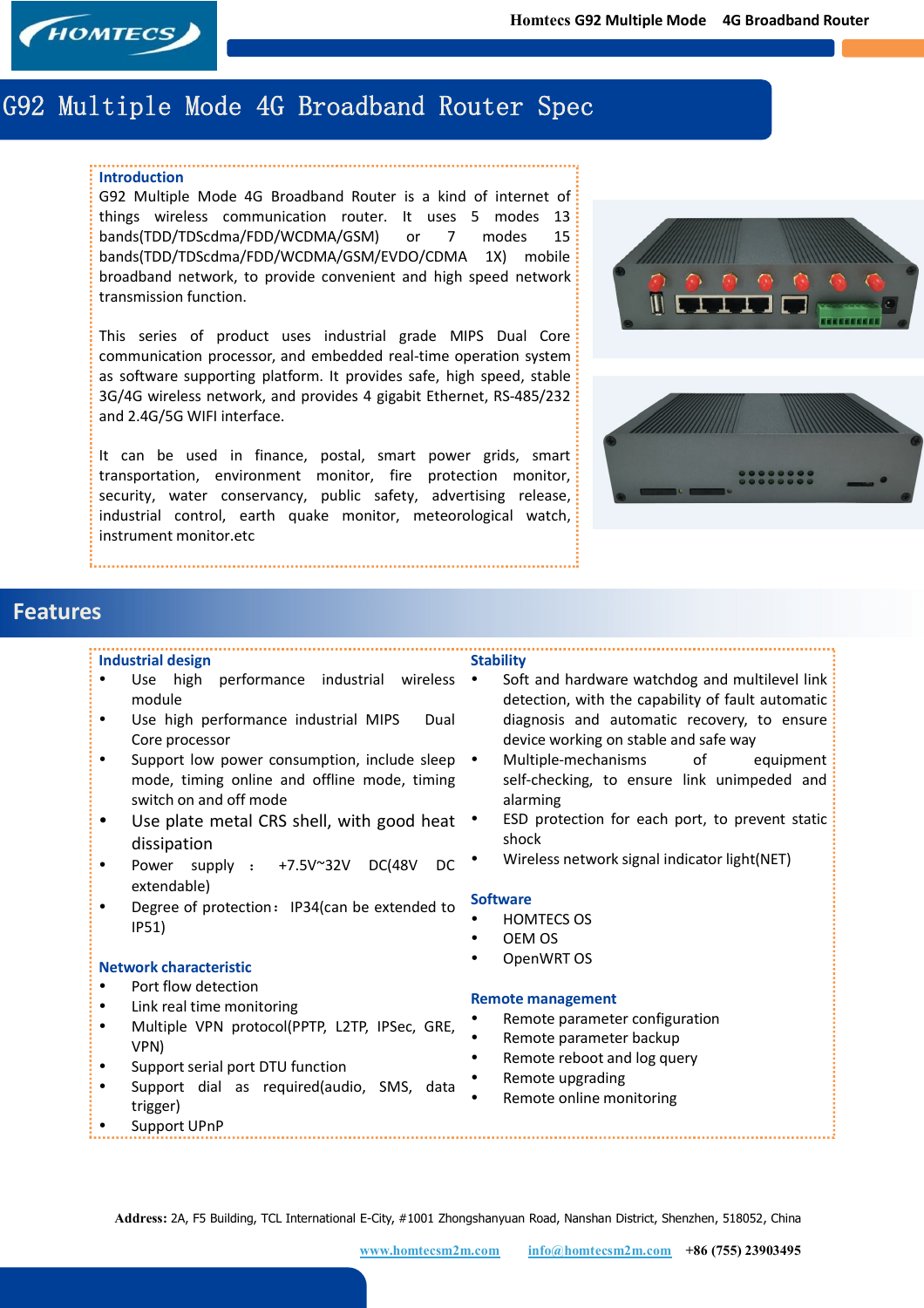

# **G92 Multiple Mode 4G Broadband Router Spec**

#### **Introduction**

G92 Multiple Mode 4G Broadband Router is a kind of internet of things wireless communication router. It uses 5 modes 13 bands(TDD/TDScdma/FDD/WCDMA/GSM) or 7 modes 15 bands(TDD/TDScdma/FDD/WCDMA/GSM/EVDO/CDMA 1X) mobile broadband network, to provide convenient and high speed network transmission function.

This series of product uses industrial grade MIPS Dual Core communication processor, and embedded real-time operation system as software supporting platform. It provides safe, high speed, stable 3G/4G wireless network, and provides 4 gigabit Ethernet, RS-485/232 and 2.4G/5G WIFI interface.

It can be used in finance, postal, smart power grids, smart transportation, environment monitor, fire protection monitor, security, water conservancy, public safety, advertising release, industrial control, earth quake monitor, meteorological watch, instrument monitor.etc





## **Features**

#### **Industrial design**

- Use high performance industrial wireless module
- Use high performance industrial MIPS Dual Core processor
- Support low power consumption, include sleep mode, timing online and offline mode, timing switch on and off mode
- Use plate metal CRS shell, with good heat . dissipation
- Power supply : +7.5V~32V DC(48V DC extendable)
- Degree of protection: IP34(can be extended to IP51)

#### **Network characteristic**

- Port flow detection
- Link real time monitoring
- Multiple VPN protocol(PPTP, L2TP, IPSec, GRE, VPN)
- Support serial port DTU function
- Support dial as required(audio, SMS, data trigger)
- Support UPnP
- Soft and hardware watchdog and multilevel link detection, with the capability of fault automatic diagnosis and automatic recovery, to ensure device working on stable and safe way
- Multiple-mechanisms of equipment self-checking, to ensure link unimpeded and alarming
- ESD protection for each port, to prevent static shock
- Wireless network signal indicator light(NET)

#### **Software**

**Stability**

- HOMTECS OS
- OEM OS
- OpenWRT OS

#### **Remote management**

- Remote parameter configuration
- Remote parameter backup
- Remote reboot and log query
- Remote upgrading
- Remote online monitoring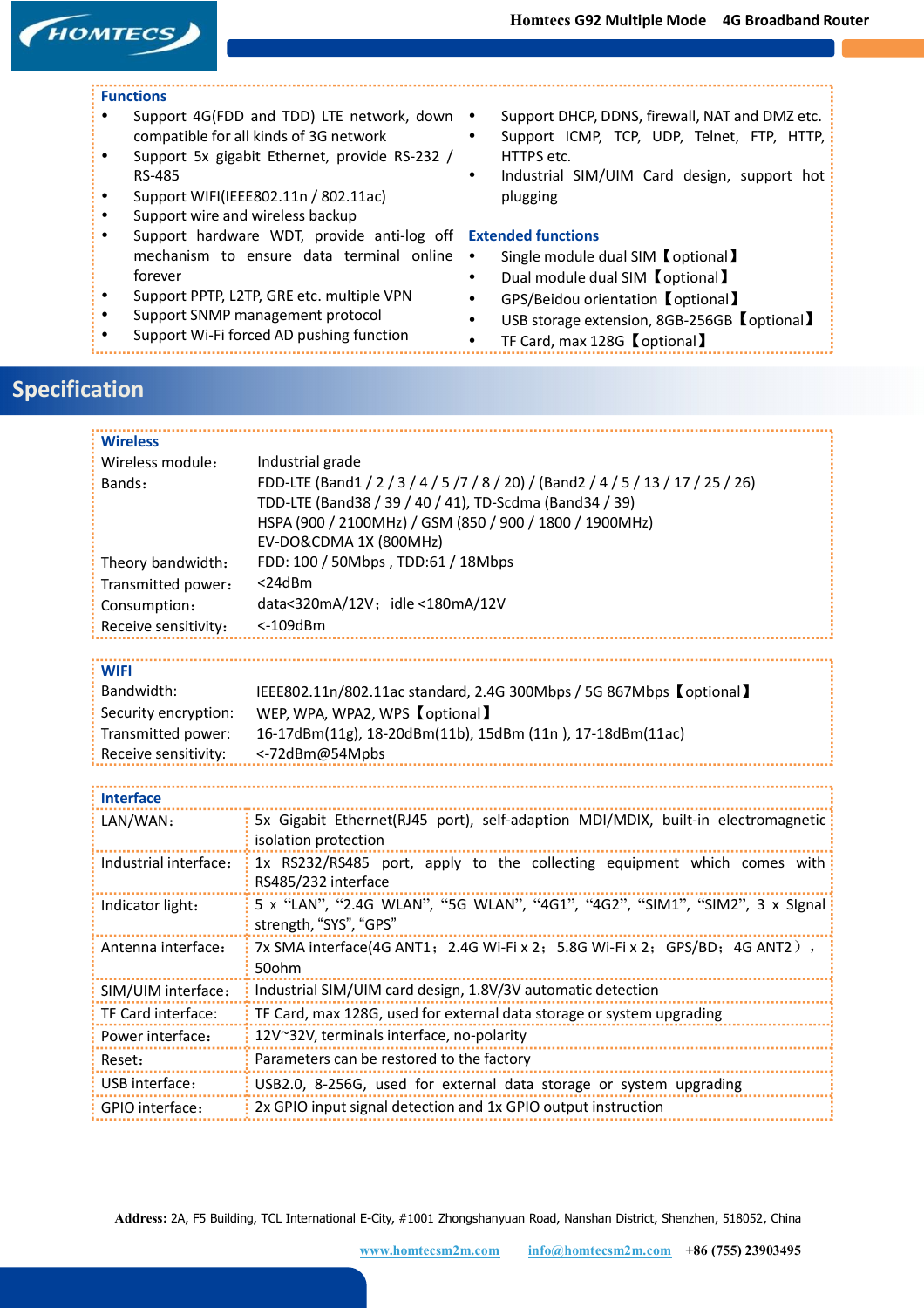# **HOMTECS**

#### **Functions**

- Support 4G(FDD and TDD) LTE network, down compatible for all kinds of 3G network
- Support 5x gigabit Ethernet, provide RS-232 / RS-485
- Support WIFI(IEEE802.11n / 802.11ac)
- Support wire and wireless backup
- Support hardware WDT, provide anti-log off **Extended functions** mechanism to ensure data terminal online forever
- Support PPTP, L2TP, GRE etc. multiple VPN
- Support SNMP management protocol
- Support Wi-Fi forced AD pushing function
- Support DHCP, DDNS, firewall, NAT and DMZ etc.
- Support ICMP, TCP, UDP, Telnet, FTP, HTTP, HTTPS etc.
- Industrial SIM/UIM Card design, support hot plugging

- Single module dual SIM【optional】
- Dual module dual SIM【optional】
- GPS/Beidou orientation【optional】
- USB storage extension, 8GB-256GB 【optional】
- TF Card, max 128G【optional】

## **Specification**

| <b>Wireless</b>       |                                                                                                                                                                                                                                   |  |  |  |
|-----------------------|-----------------------------------------------------------------------------------------------------------------------------------------------------------------------------------------------------------------------------------|--|--|--|
| Wireless module:      | Industrial grade                                                                                                                                                                                                                  |  |  |  |
| Bands:                | FDD-LTE (Band1 / 2 / 3 / 4 / 5 /7 / 8 / 20) / (Band2 / 4 / 5 / 13 / 17 / 25 / 26)<br>TDD-LTE (Band38 / 39 / 40 / 41), TD-Scdma (Band34 / 39)<br>HSPA (900 / 2100MHz) / GSM (850 / 900 / 1800 / 1900MHz)<br>EV-DO&CDMA 1X (800MHz) |  |  |  |
| Theory bandwidth:     | FDD: 100 / 50Mbps, TDD:61 / 18Mbps                                                                                                                                                                                                |  |  |  |
| Transmitted power:    | $<$ 24 $dBm$                                                                                                                                                                                                                      |  |  |  |
| Consumption:          | data<320mA/12V; idle <180mA/12V                                                                                                                                                                                                   |  |  |  |
| Receive sensitivity:  | $< -109$ dBm                                                                                                                                                                                                                      |  |  |  |
|                       |                                                                                                                                                                                                                                   |  |  |  |
| <b>WIFI</b>           |                                                                                                                                                                                                                                   |  |  |  |
| Bandwidth:            | IEEE802.11n/802.11ac standard, 2.4G 300Mbps / 5G 867Mbps 【optional】                                                                                                                                                               |  |  |  |
| Security encryption:  | WEP, WPA, WPA2, WPS 【optional】                                                                                                                                                                                                    |  |  |  |
| Transmitted power:    | 16-17dBm(11g), 18-20dBm(11b), 15dBm (11n), 17-18dBm(11ac)                                                                                                                                                                         |  |  |  |
| Receive sensitivity:  | <-72dBm@54Mpbs                                                                                                                                                                                                                    |  |  |  |
|                       |                                                                                                                                                                                                                                   |  |  |  |
| <b>Interface</b>      |                                                                                                                                                                                                                                   |  |  |  |
| LAN/WAN:              | 5x Gigabit Ethernet(RJ45 port), self-adaption MDI/MDIX, built-in electromagnetic                                                                                                                                                  |  |  |  |
|                       | isolation protection                                                                                                                                                                                                              |  |  |  |
| Industrial interface: | 1x RS232/RS485 port, apply to the collecting equipment which comes with<br>RS485/232 interface                                                                                                                                    |  |  |  |
| Indicator light:      | 5 x "LAN", "2.4G WLAN", "5G WLAN", "4G1", "4G2", "SIM1", "SIM2", 3 x SIgnal<br>strength, "SYS", "GPS"                                                                                                                             |  |  |  |
| Antenna interface:    | 7x SMA interface(4G ANT1; 2.4G Wi-Fi x 2; 5.8G Wi-Fi x 2; GPS/BD; 4G ANT2),<br>50ohm                                                                                                                                              |  |  |  |
| SIM/UIM interface:    | Industrial SIM/UIM card design, 1.8V/3V automatic detection                                                                                                                                                                       |  |  |  |
| TF Card interface:    | TF Card, max 128G, used for external data storage or system upgrading                                                                                                                                                             |  |  |  |
| Power interface:      | 12V~32V, terminals interface, no-polarity                                                                                                                                                                                         |  |  |  |
| Reset:                | Parameters can be restored to the factory                                                                                                                                                                                         |  |  |  |
| USB interface:        | USB2.0, 8-256G, used for external data storage or system upgrading                                                                                                                                                                |  |  |  |
| GPIO interface:       | 2x GPIO input signal detection and 1x GPIO output instruction                                                                                                                                                                     |  |  |  |

**Address:** 2A, F5 Building, TCL International E-City, #1001 Zhongshanyuan Road, Nanshan District, Shenzhen, 518052, China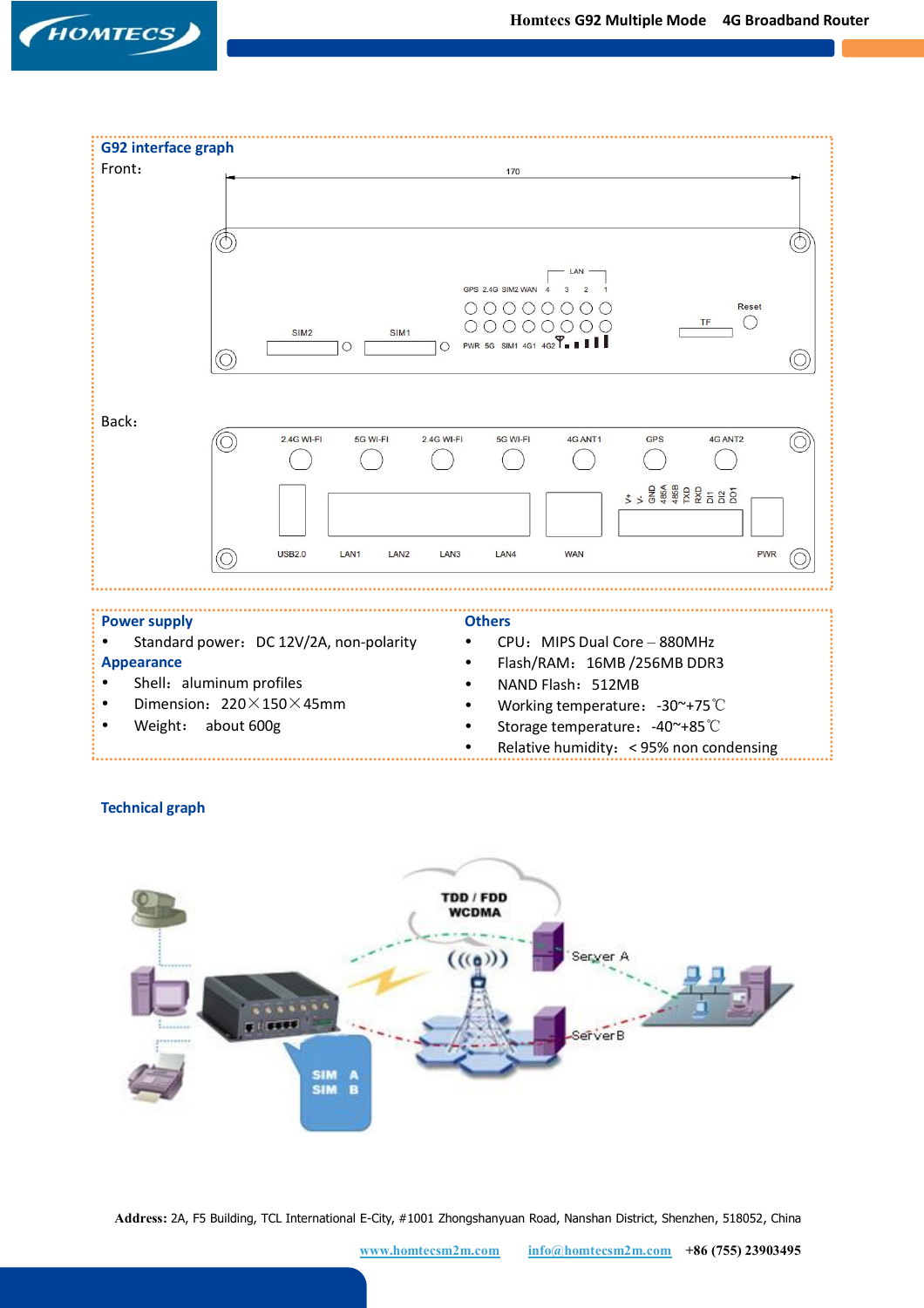



Weight: about 600g

Relative humidity:< 95% non condensing

### **Technical graph**



**Address:** 2A, F5 Building, TCL International E-City, #1001 Zhongshanyuan Road, Nanshan District, Shenzhen, 518052, China